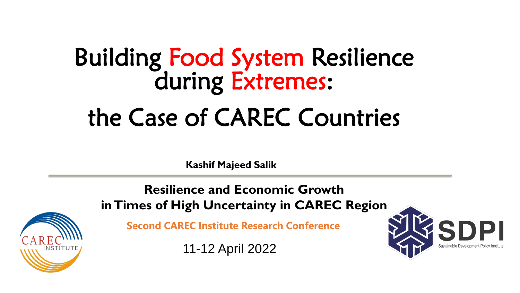# Building Food System Resilience during Extremes: the Case of CAREC Countries

**Kashif Majeed Salik**

**Resilience and Economic Growth in Times of High Uncertainty in CAREC Region**

**Second CAREC Institute Research Conference**

11-12 April 2022



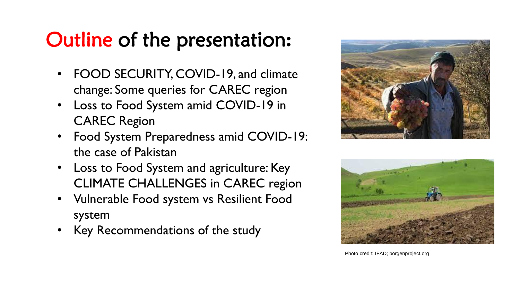## Outline of the presentation**:**

- FOOD SECURITY, COVID-19, and climate change: Some queries for CAREC region
- Loss to Food System amid COVID-19 in CAREC Region
- Food System Preparedness amid COVID-19: the case of Pakistan
- Loss to Food System and agriculture: Key CLIMATE CHALLENGES in CAREC region
- Vulnerable Food system vs Resilient Food system
- Key Recommendations of the study





Photo credit: IFAD; borgenproject.org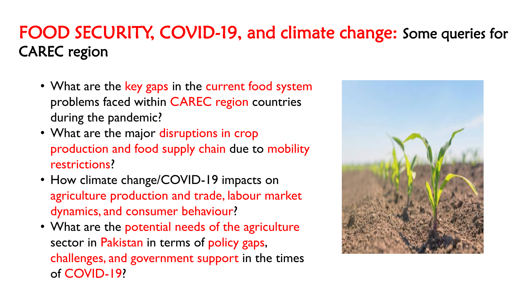### FOOD SECURITY, COVID-19, and climate change: Some queries for CAREC region

- What are the key gaps in the current food system problems faced within CAREC region countries during the pandemic?
- What are the major disruptions in crop production and food supply chain due to mobility restrictions?
- How climate change/COVID-19 impacts on agriculture production and trade, labour market dynamics, and consumer behaviour?
- What are the potential needs of the agriculture sector in Pakistan in terms of policy gaps, challenges, and government support in the times of COVID-19?

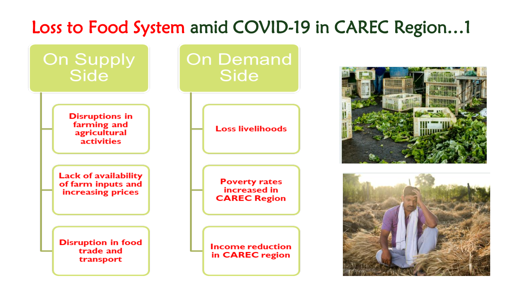### Loss to Food System amid COVID-19 in CAREC Region…1





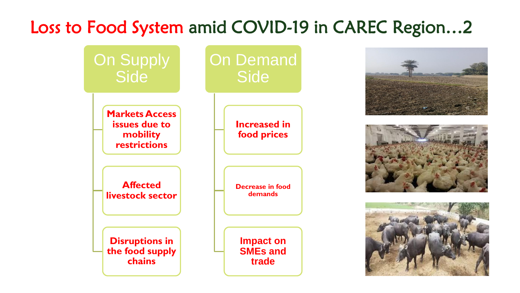### Loss to Food System amid COVID-19 in CAREC Region…2







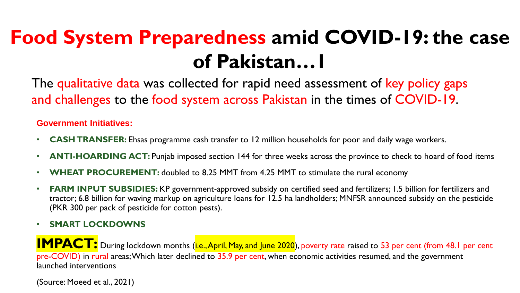## **Food System Preparedness amid COVID-19: the case of Pakistan…1**

The qualitative data was collected for rapid need assessment of key policy gaps and challenges to the food system across Pakistan in the times of COVID-19.

#### **Government Initiatives:**

- **CASH TRANSFER:** Ehsas programme cash transfer to 12 million households for poor and daily wage workers.
- **ANTI-HOARDING ACT:** Punjab imposed section 144 for three weeks across the province to check to hoard of food items
- **WHEAT PROCUREMENT:** doubled to 8.25 MMT from 4.25 MMT to stimulate the rural economy
- **FARM INPUT SUBSIDIES:** KP government-approved subsidy on certified seed and fertilizers; 1.5 billion for fertilizers and tractor; 6.8 billion for waving markup on agriculture loans for 12.5 ha landholders; MNFSR announced subsidy on the pesticide (PKR 300 per pack of pesticide for cotton pests).

• **SMART LOCKDOWNS**

**IMPACT:** During lockdown months (i.e., April, May, and June 2020), poverty rate raised to 53 per cent (from 48.1 per cent pre-COVID) in rural areas; Which later declined to 35.9 per cent, when economic activities resumed, and the government launched interventions

(Source: Moeed et al., 2021)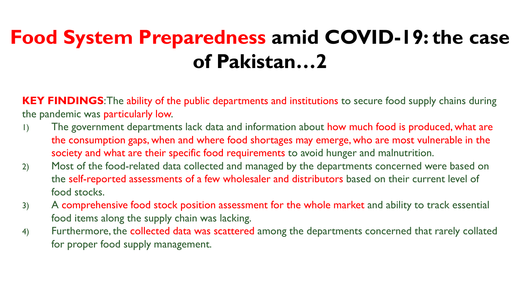## **Food System Preparedness amid COVID-19: the case of Pakistan…2**

**KEY FINDINGS**: The ability of the public departments and institutions to secure food supply chains during the pandemic was particularly low.

- 1) The government departments lack data and information about how much food is produced, what are the consumption gaps, when and where food shortages may emerge, who are most vulnerable in the society and what are their specific food requirements to avoid hunger and malnutrition.
- 2) Most of the food-related data collected and managed by the departments concerned were based on the self-reported assessments of a few wholesaler and distributors based on their current level of food stocks.
- 3) A comprehensive food stock position assessment for the whole market and ability to track essential food items along the supply chain was lacking.
- 4) Furthermore, the collected data was scattered among the departments concerned that rarely collated for proper food supply management.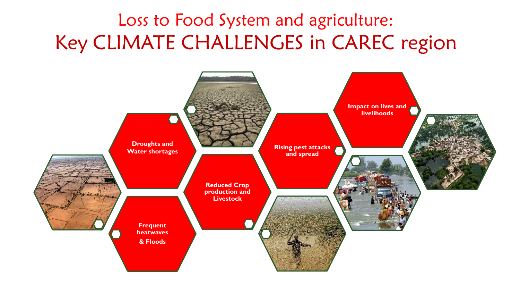### Loss to Food System and agriculture: Key CLIMATE CHALLENGES in CAREC region

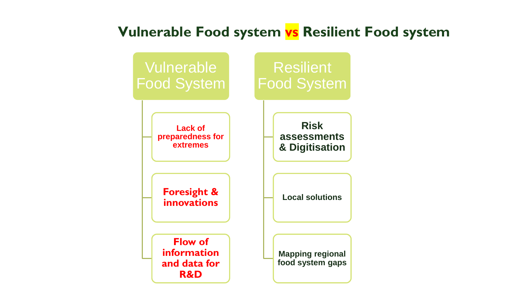### **Vulnerable Food system vs Resilient Food system**